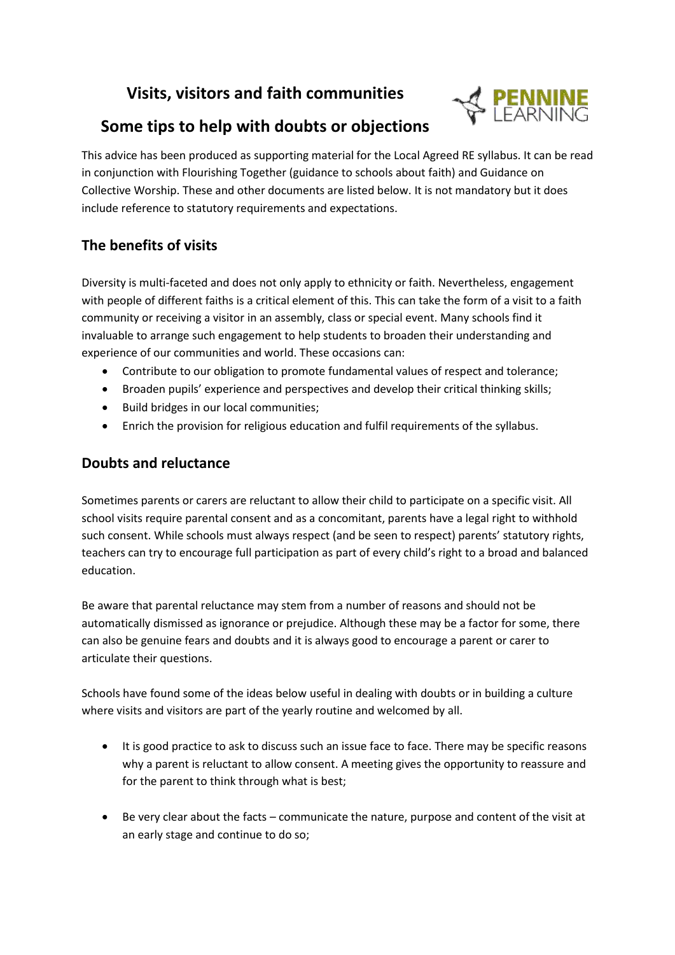# **Visits, visitors and faith communities**



# **Some tips to help with doubts or objections**

This advice has been produced as supporting material for the Local Agreed RE syllabus. It can be read in conjunction with Flourishing Together (guidance to schools about faith) and Guidance on Collective Worship. These and other documents are listed below. It is not mandatory but it does include reference to statutory requirements and expectations.

## **The benefits of visits**

Diversity is multi-faceted and does not only apply to ethnicity or faith. Nevertheless, engagement with people of different faiths is a critical element of this. This can take the form of a visit to a faith community or receiving a visitor in an assembly, class or special event. Many schools find it invaluable to arrange such engagement to help students to broaden their understanding and experience of our communities and world. These occasions can:

- Contribute to our obligation to promote fundamental values of respect and tolerance;
- Broaden pupils' experience and perspectives and develop their critical thinking skills;
- Build bridges in our local communities;
- Enrich the provision for religious education and fulfil requirements of the syllabus.

#### **Doubts and reluctance**

Sometimes parents or carers are reluctant to allow their child to participate on a specific visit. All school visits require parental consent and as a concomitant, parents have a legal right to withhold such consent. While schools must always respect (and be seen to respect) parents' statutory rights, teachers can try to encourage full participation as part of every child's right to a broad and balanced education.

Be aware that parental reluctance may stem from a number of reasons and should not be automatically dismissed as ignorance or prejudice. Although these may be a factor for some, there can also be genuine fears and doubts and it is always good to encourage a parent or carer to articulate their questions.

Schools have found some of the ideas below useful in dealing with doubts or in building a culture where visits and visitors are part of the yearly routine and welcomed by all.

- It is good practice to ask to discuss such an issue face to face. There may be specific reasons why a parent is reluctant to allow consent. A meeting gives the opportunity to reassure and for the parent to think through what is best;
- Be very clear about the facts communicate the nature, purpose and content of the visit at an early stage and continue to do so;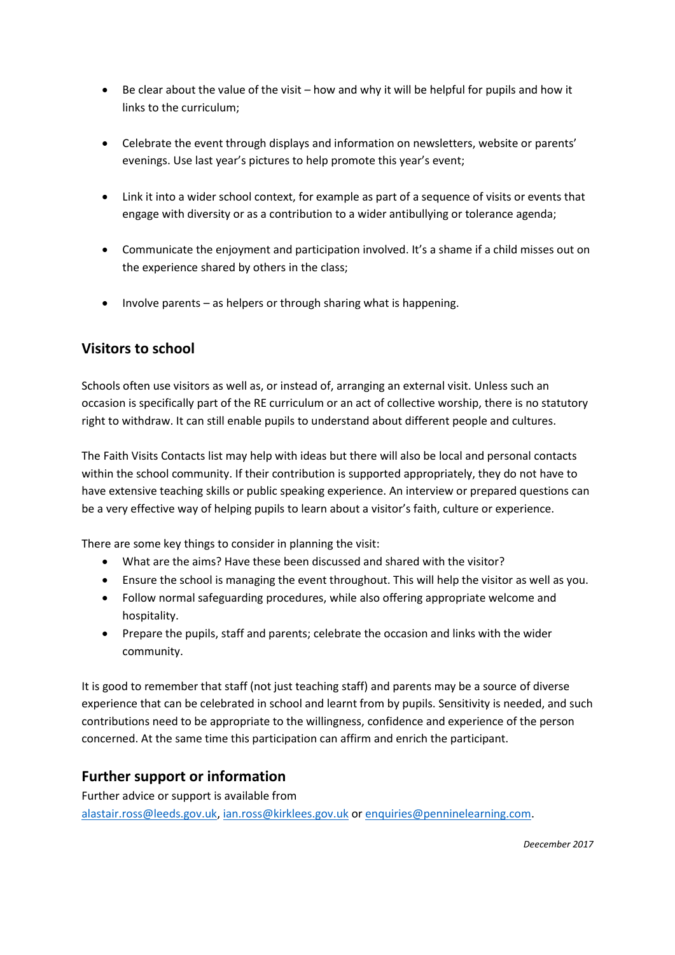- Be clear about the value of the visit how and why it will be helpful for pupils and how it links to the curriculum;
- Celebrate the event through displays and information on newsletters, website or parents' evenings. Use last year's pictures to help promote this year's event;
- Link it into a wider school context, for example as part of a sequence of visits or events that engage with diversity or as a contribution to a wider antibullying or tolerance agenda;
- Communicate the enjoyment and participation involved. It's a shame if a child misses out on the experience shared by others in the class;
- Involve parents as helpers or through sharing what is happening.

#### **Visitors to school**

Schools often use visitors as well as, or instead of, arranging an external visit. Unless such an occasion is specifically part of the RE curriculum or an act of collective worship, there is no statutory right to withdraw. It can still enable pupils to understand about different people and cultures.

The Faith Visits Contacts list may help with ideas but there will also be local and personal contacts within the school community. If their contribution is supported appropriately, they do not have to have extensive teaching skills or public speaking experience. An interview or prepared questions can be a very effective way of helping pupils to learn about a visitor's faith, culture or experience.

There are some key things to consider in planning the visit:

- What are the aims? Have these been discussed and shared with the visitor?
- Ensure the school is managing the event throughout. This will help the visitor as well as you.
- Follow normal safeguarding procedures, while also offering appropriate welcome and hospitality.
- Prepare the pupils, staff and parents; celebrate the occasion and links with the wider community.

It is good to remember that staff (not just teaching staff) and parents may be a source of diverse experience that can be celebrated in school and learnt from by pupils. Sensitivity is needed, and such contributions need to be appropriate to the willingness, confidence and experience of the person concerned. At the same time this participation can affirm and enrich the participant.

#### **Further support or information**

Further advice or support is available from [alastair.ross@leeds.gov.uk,](mailto:alastair.ross@leeds.gov.uk) [ian.ross@kirklees.gov.uk](mailto:ian.ross@kirklees.gov.uk) or [enquiries@penninelearning.com.](mailto:enquiries@penninelearning.com)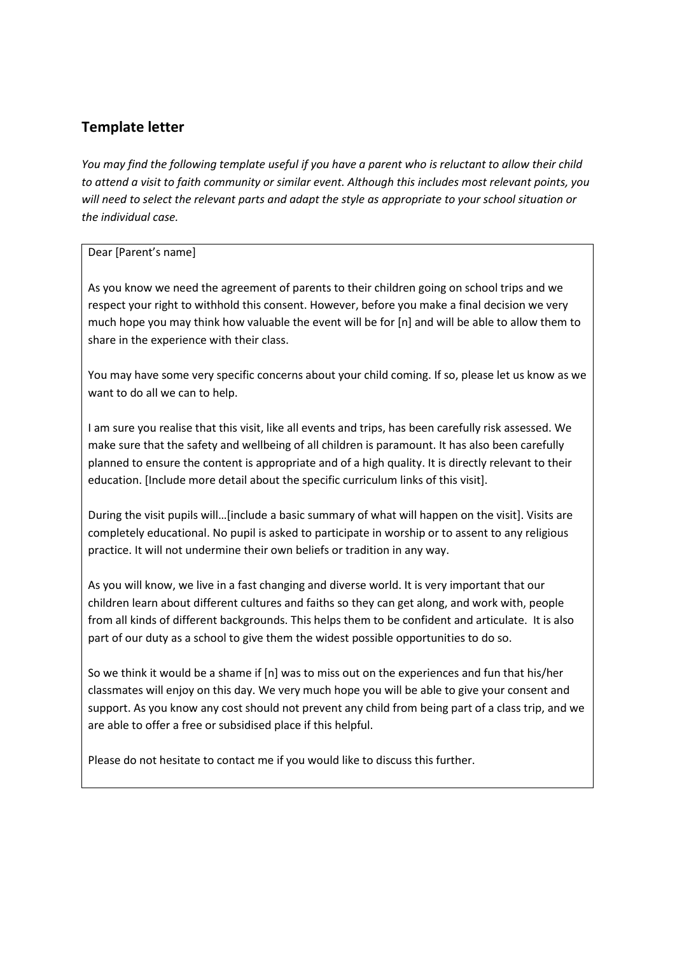### **Template letter**

*You may find the following template useful if you have a parent who is reluctant to allow their child to attend a visit to faith community or similar event. Although this includes most relevant points, you will need to select the relevant parts and adapt the style as appropriate to your school situation or the individual case.*

#### Dear [Parent's name]

As you know we need the agreement of parents to their children going on school trips and we respect your right to withhold this consent. However, before you make a final decision we very much hope you may think how valuable the event will be for [n] and will be able to allow them to share in the experience with their class.

You may have some very specific concerns about your child coming. If so, please let us know as we want to do all we can to help.

I am sure you realise that this visit, like all events and trips, has been carefully risk assessed. We make sure that the safety and wellbeing of all children is paramount. It has also been carefully planned to ensure the content is appropriate and of a high quality. It is directly relevant to their education. [Include more detail about the specific curriculum links of this visit].

During the visit pupils will…[include a basic summary of what will happen on the visit]. Visits are completely educational. No pupil is asked to participate in worship or to assent to any religious practice. It will not undermine their own beliefs or tradition in any way.

As you will know, we live in a fast changing and diverse world. It is very important that our children learn about different cultures and faiths so they can get along, and work with, people from all kinds of different backgrounds. This helps them to be confident and articulate. It is also part of our duty as a school to give them the widest possible opportunities to do so.

So we think it would be a shame if [n] was to miss out on the experiences and fun that his/her classmates will enjoy on this day. We very much hope you will be able to give your consent and support. As you know any cost should not prevent any child from being part of a class trip, and we are able to offer a free or subsidised place if this helpful.

Please do not hesitate to contact me if you would like to discuss this further.